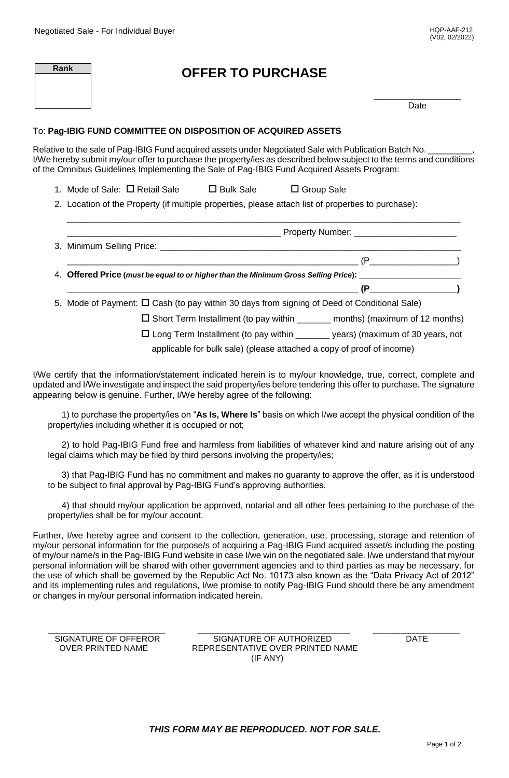| Rank | <b>OFFER TO PURCHASE</b> |      |
|------|--------------------------|------|
|      |                          | Date |

## To: **Pag-IBIG FUND COMMITTEE ON DISPOSITION OF ACQUIRED ASSETS**

Relative to the sale of Pag-IBIG Fund acquired assets under Negotiated Sale with Publication Batch No. I/We hereby submit my/our offer to purchase the property/ies as described below subject to the terms and conditions of the Omnibus Guidelines Implementing the Sale of Pag-IBIG Fund Acquired Assets Program:

1. Mode of Sale:  $\Box$  Retail Sale  $\Box$  Bulk Sale  $\Box$  Group Sale

2. Location of the Property (if multiple properties, please attach list of properties to purchase):

| $(P_$ (P                                                                                                                                                                                                                                                                                                                                                                          |
|-----------------------------------------------------------------------------------------------------------------------------------------------------------------------------------------------------------------------------------------------------------------------------------------------------------------------------------------------------------------------------------|
| 4. Offered Price (must be equal to or higher than the Minimum Gross Selling Price): ______________________                                                                                                                                                                                                                                                                        |
| $(P \t\t\t (P \t\t\t (P \t\t\t (P \t\t\t (P \t\t\t (P \t\t\t (P \t\t\t (P \t\t\t (P \t\t\t (P \t\t\t (P \t\t\t (P \t\t\t (P \t\t\t (P \t\t\t (P \t\t\t (P \t\t\t (P \t\t\t (P \t\t\t (P \t\t\t (P \t\t\t (P \t\t\t (P \t\t\t (P \t\t\t (P \t\t\t (P \t\t\t (P \t\t\t (P \t\t\t (P \t\t\t (P \t\t\t (P \t\t\t (P \t\t\t (P \t\t\t (P \t\t\t (P \t\t\t (P \t\t\t (P \t\t\t (P \t\t$ |
| 5. Mode of Payment: $\Box$ Cash (to pay within 30 days from signing of Deed of Conditional Sale)                                                                                                                                                                                                                                                                                  |
| $\Box$ Short Term Installment (to pay within ________ months) (maximum of 12 months)                                                                                                                                                                                                                                                                                              |
|                                                                                                                                                                                                                                                                                                                                                                                   |

\_\_\_\_\_\_\_\_\_\_\_\_\_\_\_\_\_\_\_\_\_\_\_\_\_\_\_\_\_\_\_\_\_\_\_\_\_\_\_\_\_\_\_\_\_\_\_\_\_\_\_\_\_\_\_\_\_\_\_\_\_\_\_\_\_\_\_\_\_\_\_\_\_\_\_\_\_\_\_\_\_

Long Term Installment (to pay within \_\_\_\_\_\_\_ years) (maximum of 30 years, not

applicable for bulk sale) (please attached a copy of proof of income)

I/We certify that the information/statement indicated herein is to my/our knowledge, true, correct, complete and updated and I/We investigate and inspect the said property/ies before tendering this offer to purchase. The signature appearing below is genuine. Further, I/We hereby agree of the following:

1) to purchase the property/ies on "**As Is, Where Is**" basis on which I/we accept the physical condition of the property/ies including whether it is occupied or not;

2) to hold Pag-IBIG Fund free and harmless from liabilities of whatever kind and nature arising out of any legal claims which may be filed by third persons involving the property/ies;

3) that Pag-IBIG Fund has no commitment and makes no guaranty to approve the offer, as it is understood to be subject to final approval by Pag-IBIG Fund's approving authorities.

4) that should my/our application be approved, notarial and all other fees pertaining to the purchase of the property/ies shall be for my/our account.

Further, I/we hereby agree and consent to the collection, generation, use, processing, storage and retention of my/our personal information for the purpose/s of acquiring a Pag-IBIG Fund acquired asset/s including the posting of my/our name/s in the Pag-IBIG Fund website in case I/we win on the negotiated sale. I/we understand that my/our personal information will be shared with other government agencies and to third parties as may be necessary, for the use of which shall be governed by the Republic Act No. 10173 also known as the "Data Privacy Act of 2012" and its implementing rules and regulations, I/we promise to notify Pag-IBIG Fund should there be any amendment or changes in my/our personal information indicated herein.

| SIGNATURE OF OFFEROR | SIGNATURE OF AUTHORIZED          | DATF |
|----------------------|----------------------------------|------|
| OVER PRINTED NAME    | REPRESENTATIVE OVER PRINTED NAME |      |

SIGNATURE OF AUTHORIZED DATE REPRESENTATIVE OVER PRINTED NAME (IF ANY)